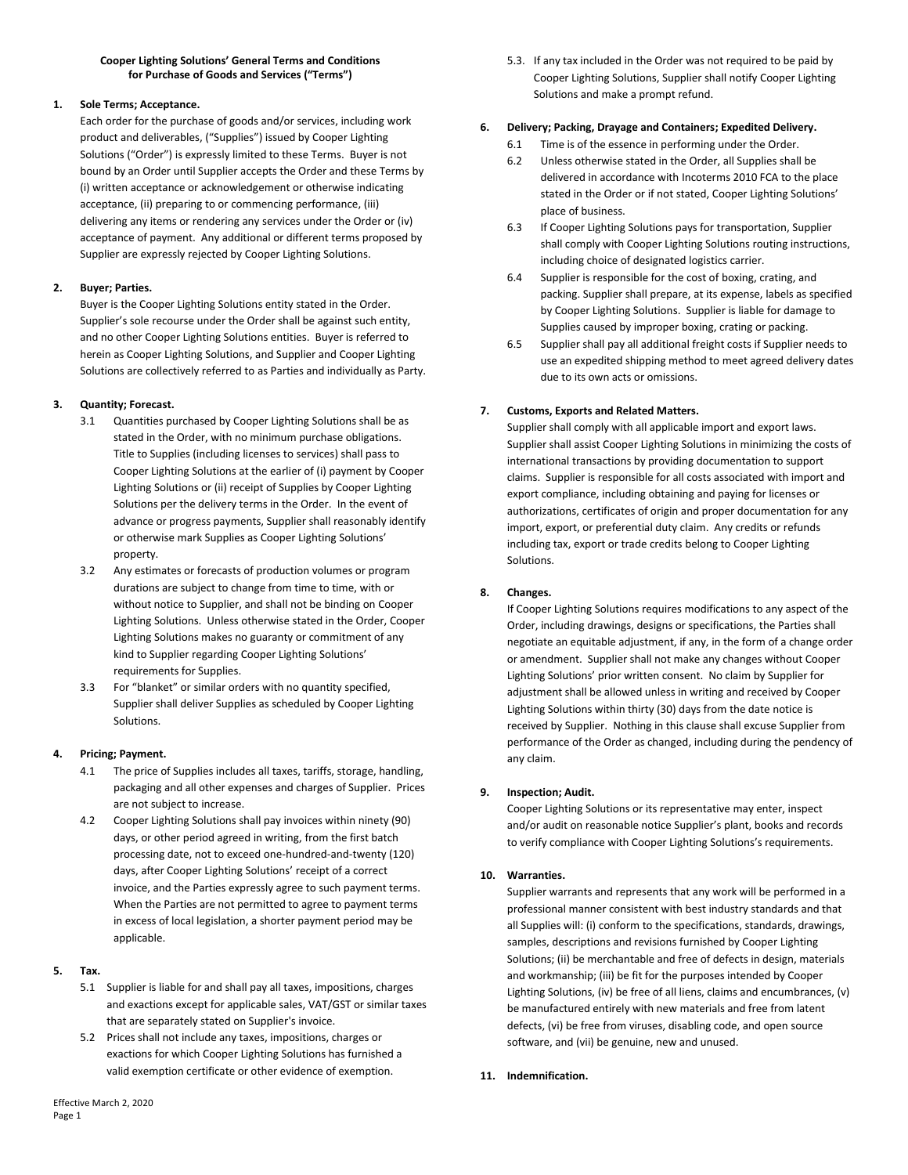### **Cooper Lighting Solutions' General Terms and Conditions for Purchase of Goods and Services ("Terms")**

# **1. Sole Terms; Acceptance.**

Each order for the purchase of goods and/or services, including work product and deliverables, ("Supplies") issued by Cooper Lighting Solutions ("Order") is expressly limited to these Terms. Buyer is not bound by an Order until Supplier accepts the Order and these Terms by (i) written acceptance or acknowledgement or otherwise indicating acceptance, (ii) preparing to or commencing performance, (iii) delivering any items or rendering any services under the Order or (iv) acceptance of payment. Any additional or different terms proposed by Supplier are expressly rejected by Cooper Lighting Solutions.

# **2. Buyer; Parties.**

Buyer is the Cooper Lighting Solutions entity stated in the Order. Supplier's sole recourse under the Order shall be against such entity, and no other Cooper Lighting Solutions entities. Buyer is referred to herein as Cooper Lighting Solutions, and Supplier and Cooper Lighting Solutions are collectively referred to as Parties and individually as Party.

## **3. Quantity; Forecast.**

- 3.1 Quantities purchased by Cooper Lighting Solutions shall be as stated in the Order, with no minimum purchase obligations. Title to Supplies (including licenses to services) shall pass to Cooper Lighting Solutions at the earlier of (i) payment by Cooper Lighting Solutions or (ii) receipt of Supplies by Cooper Lighting Solutions per the delivery terms in the Order. In the event of advance or progress payments, Supplier shall reasonably identify or otherwise mark Supplies as Cooper Lighting Solutions' property.
- 3.2 Any estimates or forecasts of production volumes or program durations are subject to change from time to time, with or without notice to Supplier, and shall not be binding on Cooper Lighting Solutions. Unless otherwise stated in the Order, Cooper Lighting Solutions makes no guaranty or commitment of any kind to Supplier regarding Cooper Lighting Solutions' requirements for Supplies.
- 3.3 For "blanket" or similar orders with no quantity specified, Supplier shall deliver Supplies as scheduled by Cooper Lighting Solutions.

# **4. Pricing; Payment.**

- 4.1 The price of Supplies includes all taxes, tariffs, storage, handling, packaging and all other expenses and charges of Supplier. Prices are not subject to increase.
- 4.2 Cooper Lighting Solutions shall pay invoices within ninety (90) days, or other period agreed in writing, from the first batch processing date, not to exceed one-hundred-and-twenty (120) days, after Cooper Lighting Solutions' receipt of a correct invoice, and the Parties expressly agree to such payment terms. When the Parties are not permitted to agree to payment terms in excess of local legislation, a shorter payment period may be applicable.

## **5. Tax.**

- 5.1 Supplier is liable for and shall pay all taxes, impositions, charges and exactions except for applicable sales, VAT/GST or similar taxes that are separately stated on Supplier's invoice.
- 5.2 Prices shall not include any taxes, impositions, charges or exactions for which Cooper Lighting Solutions has furnished a valid exemption certificate or other evidence of exemption.

5.3. If any tax included in the Order was not required to be paid by Cooper Lighting Solutions, Supplier shall notify Cooper Lighting Solutions and make a prompt refund.

## **6. Delivery; Packing, Drayage and Containers; Expedited Delivery.**

- 6.1 Time is of the essence in performing under the Order.
- 6.2 Unless otherwise stated in the Order, all Supplies shall be delivered in accordance with Incoterms 2010 FCA to the place stated in the Order or if not stated, Cooper Lighting Solutions' place of business.
- 6.3 If Cooper Lighting Solutions pays for transportation, Supplier shall comply with Cooper Lighting Solutions routing instructions, including choice of designated logistics carrier.
- 6.4 Supplier is responsible for the cost of boxing, crating, and packing. Supplier shall prepare, at its expense, labels as specified by Cooper Lighting Solutions. Supplier is liable for damage to Supplies caused by improper boxing, crating or packing.
- 6.5 Supplier shall pay all additional freight costs if Supplier needs to use an expedited shipping method to meet agreed delivery dates due to its own acts or omissions.

## **7. Customs, Exports and Related Matters.**

Supplier shall comply with all applicable import and export laws. Supplier shall assist Cooper Lighting Solutions in minimizing the costs of international transactions by providing documentation to support claims. Supplier is responsible for all costs associated with import and export compliance, including obtaining and paying for licenses or authorizations, certificates of origin and proper documentation for any import, export, or preferential duty claim. Any credits or refunds including tax, export or trade credits belong to Cooper Lighting Solutions.

# **8. Changes.**

If Cooper Lighting Solutions requires modifications to any aspect of the Order, including drawings, designs or specifications, the Parties shall negotiate an equitable adjustment, if any, in the form of a change order or amendment. Supplier shall not make any changes without Cooper Lighting Solutions' prior written consent. No claim by Supplier for adjustment shall be allowed unless in writing and received by Cooper Lighting Solutions within thirty (30) days from the date notice is received by Supplier. Nothing in this clause shall excuse Supplier from performance of the Order as changed, including during the pendency of any claim.

# **9. Inspection; Audit.**

Cooper Lighting Solutions or its representative may enter, inspect and/or audit on reasonable notice Supplier's plant, books and records to verify compliance with Cooper Lighting Solutions's requirements.

### **10. Warranties.**

Supplier warrants and represents that any work will be performed in a professional manner consistent with best industry standards and that all Supplies will: (i) conform to the specifications, standards, drawings, samples, descriptions and revisions furnished by Cooper Lighting Solutions; (ii) be merchantable and free of defects in design, materials and workmanship; (iii) be fit for the purposes intended by Cooper Lighting Solutions, (iv) be free of all liens, claims and encumbrances, (v) be manufactured entirely with new materials and free from latent defects, (vi) be free from viruses, disabling code, and open source software, and (vii) be genuine, new and unused.

**11. Indemnification.**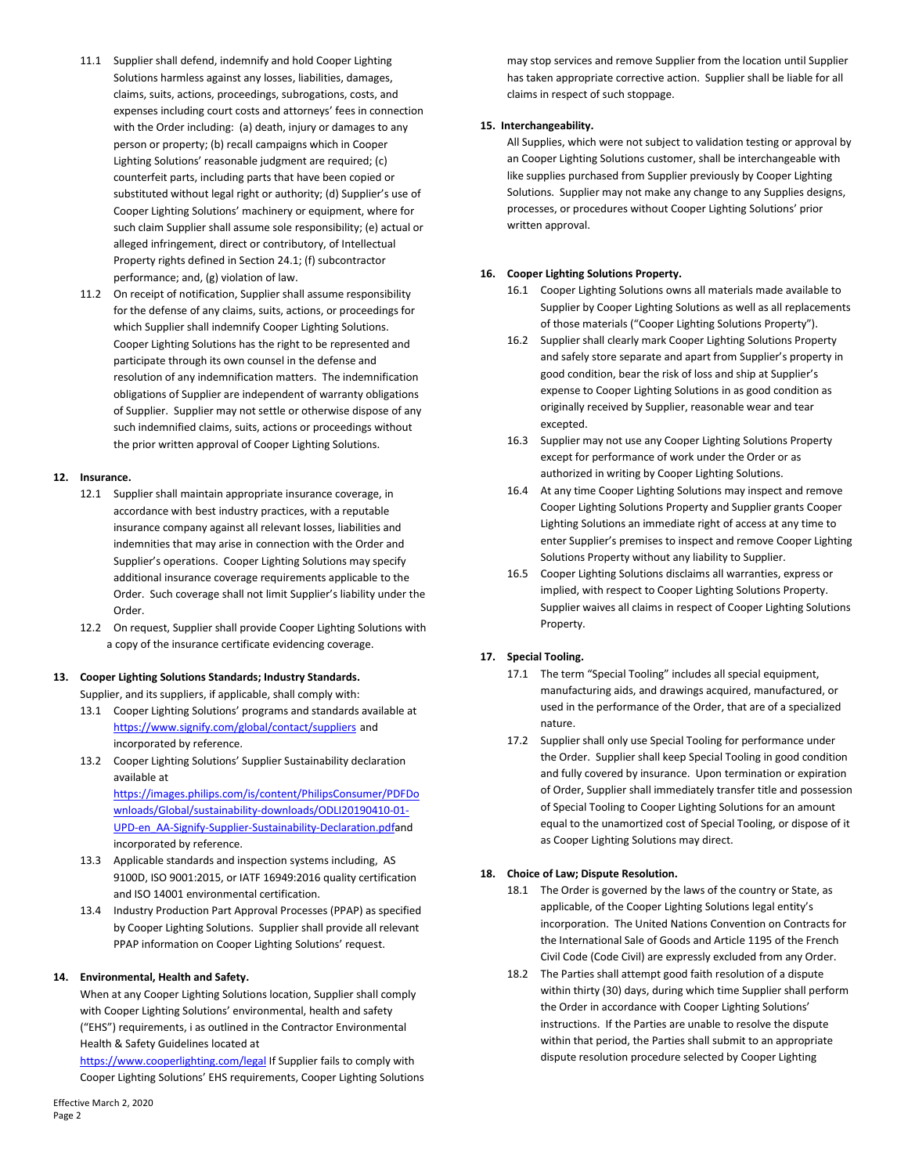- 11.1 Supplier shall defend, indemnify and hold Cooper Lighting Solutions harmless against any losses, liabilities, damages, claims, suits, actions, proceedings, subrogations, costs, and expenses including court costs and attorneys' fees in connection with the Order including: (a) death, injury or damages to any person or property; (b) recall campaigns which in Cooper Lighting Solutions' reasonable judgment are required; (c) counterfeit parts, including parts that have been copied or substituted without legal right or authority; (d) Supplier's use of Cooper Lighting Solutions' machinery or equipment, where for such claim Supplier shall assume sole responsibility; (e) actual or alleged infringement, direct or contributory, of Intellectual Property rights defined in Section 24.1; (f) subcontractor performance; and, (g) violation of law.
- 11.2 On receipt of notification, Supplier shall assume responsibility for the defense of any claims, suits, actions, or proceedings for which Supplier shall indemnify Cooper Lighting Solutions. Cooper Lighting Solutions has the right to be represented and participate through its own counsel in the defense and resolution of any indemnification matters. The indemnification obligations of Supplier are independent of warranty obligations of Supplier. Supplier may not settle or otherwise dispose of any such indemnified claims, suits, actions or proceedings without the prior written approval of Cooper Lighting Solutions.

### **12. Insurance.**

- 12.1 Supplier shall maintain appropriate insurance coverage, in accordance with best industry practices, with a reputable insurance company against all relevant losses, liabilities and indemnities that may arise in connection with the Order and Supplier's operations. Cooper Lighting Solutions may specify additional insurance coverage requirements applicable to the Order. Such coverage shall not limit Supplier's liability under the Order.
- 12.2 On request, Supplier shall provide Cooper Lighting Solutions with a copy of the insurance certificate evidencing coverage.

### **13. Cooper Lighting Solutions Standards; Industry Standards.**

Supplier, and its suppliers, if applicable, shall comply with:

- 13.1 Cooper Lighting Solutions' programs and standards available at <https://www.signify.com/global/contact/suppliers> and incorporated by reference.
- 13.2 Cooper Lighting Solutions' Supplier Sustainability declaration available at [https://images.philips.com/is/content/PhilipsConsumer/PDFDo](https://images.philips.com/is/content/PhilipsConsumer/PDFDownloads/Global/sustainability-downloads/ODLI20190410-01-UPD-en_AA-Signify-Supplier-Sustainability-Declaration.pdf)

[wnloads/Global/sustainability-downloads/ODLI20190410-01-](https://images.philips.com/is/content/PhilipsConsumer/PDFDownloads/Global/sustainability-downloads/ODLI20190410-01-UPD-en_AA-Signify-Supplier-Sustainability-Declaration.pdf) [UPD-en\\_AA-Signify-Supplier-Sustainability-Declaration.pdfa](https://images.philips.com/is/content/PhilipsConsumer/PDFDownloads/Global/sustainability-downloads/ODLI20190410-01-UPD-en_AA-Signify-Supplier-Sustainability-Declaration.pdf)nd incorporated by reference.

- 13.3 Applicable standards and inspection systems including, AS 9100D, ISO 9001:2015, or IATF 16949:2016 quality certification and ISO 14001 environmental certification.
- 13.4 Industry Production Part Approval Processes (PPAP) as specified by Cooper Lighting Solutions. Supplier shall provide all relevant PPAP information on Cooper Lighting Solutions' request.

### **14. Environmental, Health and Safety.**

When at any Cooper Lighting Solutions location, Supplier shall comply with Cooper Lighting Solutions' environmental, health and safety ("EHS") requirements, i as outlined in the Contractor Environmental Health & Safety Guidelines located at

<https://www.cooperlighting.com/legal> If Supplier fails to comply with Cooper Lighting Solutions' EHS requirements, Cooper Lighting Solutions may stop services and remove Supplier from the location until Supplier has taken appropriate corrective action. Supplier shall be liable for all claims in respect of such stoppage.

#### **15. Interchangeability.**

All Supplies, which were not subject to validation testing or approval by an Cooper Lighting Solutions customer, shall be interchangeable with like supplies purchased from Supplier previously by Cooper Lighting Solutions. Supplier may not make any change to any Supplies designs, processes, or procedures without Cooper Lighting Solutions' prior written approval.

### **16. Cooper Lighting Solutions Property.**

- 16.1 Cooper Lighting Solutions owns all materials made available to Supplier by Cooper Lighting Solutions as well as all replacements of those materials ("Cooper Lighting Solutions Property").
- 16.2 Supplier shall clearly mark Cooper Lighting Solutions Property and safely store separate and apart from Supplier's property in good condition, bear the risk of loss and ship at Supplier's expense to Cooper Lighting Solutions in as good condition as originally received by Supplier, reasonable wear and tear excepted.
- 16.3 Supplier may not use any Cooper Lighting Solutions Property except for performance of work under the Order or as authorized in writing by Cooper Lighting Solutions.
- 16.4 At any time Cooper Lighting Solutions may inspect and remove Cooper Lighting Solutions Property and Supplier grants Cooper Lighting Solutions an immediate right of access at any time to enter Supplier's premises to inspect and remove Cooper Lighting Solutions Property without any liability to Supplier.
- 16.5 Cooper Lighting Solutions disclaims all warranties, express or implied, with respect to Cooper Lighting Solutions Property. Supplier waives all claims in respect of Cooper Lighting Solutions Property.

### **17. Special Tooling.**

- 17.1 The term "Special Tooling" includes all special equipment, manufacturing aids, and drawings acquired, manufactured, or used in the performance of the Order, that are of a specialized nature.
- 17.2 Supplier shall only use Special Tooling for performance under the Order. Supplier shall keep Special Tooling in good condition and fully covered by insurance. Upon termination or expiration of Order, Supplier shall immediately transfer title and possession of Special Tooling to Cooper Lighting Solutions for an amount equal to the unamortized cost of Special Tooling, or dispose of it as Cooper Lighting Solutions may direct.

### **18. Choice of Law; Dispute Resolution.**

- 18.1 The Order is governed by the laws of the country or State, as applicable, of the Cooper Lighting Solutions legal entity's incorporation. The United Nations Convention on Contracts for the International Sale of Goods and Article 1195 of the French Civil Code (Code Civil) are expressly excluded from any Order.
- 18.2 The Parties shall attempt good faith resolution of a dispute within thirty (30) days, during which time Supplier shall perform the Order in accordance with Cooper Lighting Solutions' instructions. If the Parties are unable to resolve the dispute within that period, the Parties shall submit to an appropriate dispute resolution procedure selected by Cooper Lighting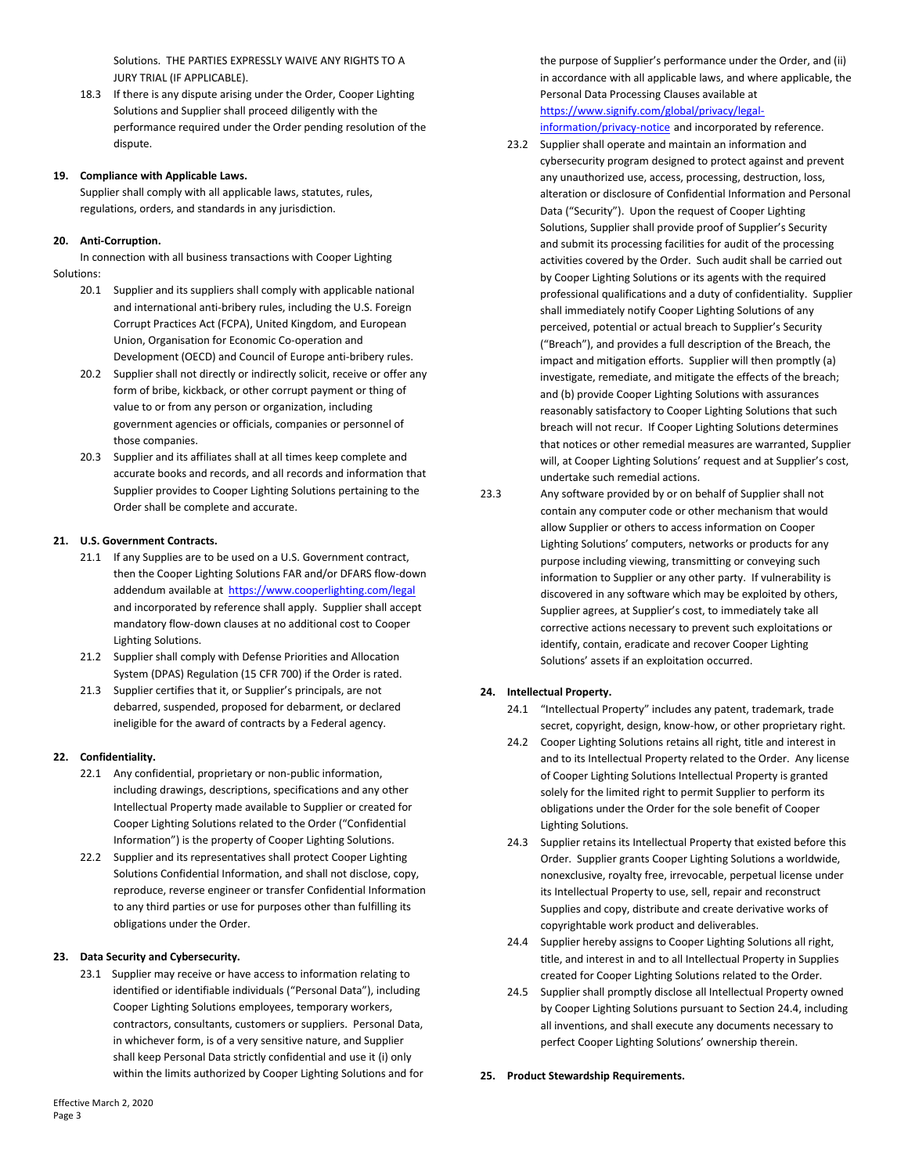Solutions. THE PARTIES EXPRESSLY WAIVE ANY RIGHTS TO A JURY TRIAL (IF APPLICABLE).

18.3 If there is any dispute arising under the Order, Cooper Lighting Solutions and Supplier shall proceed diligently with the performance required under the Order pending resolution of the dispute.

### **19. Compliance with Applicable Laws.**

Supplier shall comply with all applicable laws, statutes, rules, regulations, orders, and standards in any jurisdiction.

### **20. Anti-Corruption.**

In connection with all business transactions with Cooper Lighting Solutions:

- 20.1 Supplier and its suppliers shall comply with applicable national and international anti-bribery rules, including the U.S. Foreign Corrupt Practices Act (FCPA), United Kingdom, and European Union, Organisation for Economic Co-operation and Development (OECD) and Council of Europe anti-bribery rules.
- 20.2 Supplier shall not directly or indirectly solicit, receive or offer any form of bribe, kickback, or other corrupt payment or thing of value to or from any person or organization, including government agencies or officials, companies or personnel of those companies.
- 20.3 Supplier and its affiliates shall at all times keep complete and accurate books and records, and all records and information that Supplier provides to Cooper Lighting Solutions pertaining to the Order shall be complete and accurate.

### **21. U.S. Government Contracts.**

- 21.1 If any Supplies are to be used on a U.S. Government contract, then the Cooper Lighting Solutions FAR and/or DFARS flow-down addendum available at<https://www.cooperlighting.com/legal> and incorporated by reference shall apply. Supplier shall accept mandatory flow-down clauses at no additional cost to Cooper Lighting Solutions.
- 21.2 Supplier shall comply with Defense Priorities and Allocation System (DPAS) Regulation (15 CFR 700) if the Order is rated.
- 21.3 Supplier certifies that it, or Supplier's principals, are not debarred, suspended, proposed for debarment, or declared ineligible for the award of contracts by a Federal agency.

### **22. Confidentiality.**

- 22.1 Any confidential, proprietary or non-public information, including drawings, descriptions, specifications and any other Intellectual Property made available to Supplier or created for Cooper Lighting Solutions related to the Order ("Confidential Information") is the property of Cooper Lighting Solutions.
- 22.2 Supplier and its representatives shall protect Cooper Lighting Solutions Confidential Information, and shall not disclose, copy, reproduce, reverse engineer or transfer Confidential Information to any third parties or use for purposes other than fulfilling its obligations under the Order.

### **23. Data Security and Cybersecurity.**

23.1 Supplier may receive or have access to information relating to identified or identifiable individuals ("Personal Data"), including Cooper Lighting Solutions employees, temporary workers, contractors, consultants, customers or suppliers. Personal Data, in whichever form, is of a very sensitive nature, and Supplier shall keep Personal Data strictly confidential and use it (i) only within the limits authorized by Cooper Lighting Solutions and for the purpose of Supplier's performance under the Order, and (ii) in accordance with all applicable laws, and where applicable, the Personal Data Processing Clauses available at [https://www.signify.com/global/privacy/legal](https://www.signify.com/global/privacy/legal-information/privacy-notice)[information/privacy-notice](https://www.signify.com/global/privacy/legal-information/privacy-notice) and incorporated by reference.

- 23.2 Supplier shall operate and maintain an information and cybersecurity program designed to protect against and prevent any unauthorized use, access, processing, destruction, loss, alteration or disclosure of Confidential Information and Personal Data ("Security"). Upon the request of Cooper Lighting Solutions, Supplier shall provide proof of Supplier's Security and submit its processing facilities for audit of the processing activities covered by the Order. Such audit shall be carried out by Cooper Lighting Solutions or its agents with the required professional qualifications and a duty of confidentiality. Supplier shall immediately notify Cooper Lighting Solutions of any perceived, potential or actual breach to Supplier's Security ("Breach"), and provides a full description of the Breach, the impact and mitigation efforts. Supplier will then promptly (a) investigate, remediate, and mitigate the effects of the breach; and (b) provide Cooper Lighting Solutions with assurances reasonably satisfactory to Cooper Lighting Solutions that such breach will not recur. If Cooper Lighting Solutions determines that notices or other remedial measures are warranted, Supplier will, at Cooper Lighting Solutions' request and at Supplier's cost, undertake such remedial actions.
- 23.3 Any software provided by or on behalf of Supplier shall not contain any computer code or other mechanism that would allow Supplier or others to access information on Cooper Lighting Solutions' computers, networks or products for any purpose including viewing, transmitting or conveying such information to Supplier or any other party. If vulnerability is discovered in any software which may be exploited by others, Supplier agrees, at Supplier's cost, to immediately take all corrective actions necessary to prevent such exploitations or identify, contain, eradicate and recover Cooper Lighting Solutions' assets if an exploitation occurred.

#### **24. Intellectual Property.**

- 24.1 "Intellectual Property" includes any patent, trademark, trade secret, copyright, design, know-how, or other proprietary right.
- 24.2 Cooper Lighting Solutions retains all right, title and interest in and to its Intellectual Property related to the Order. Any license of Cooper Lighting Solutions Intellectual Property is granted solely for the limited right to permit Supplier to perform its obligations under the Order for the sole benefit of Cooper Lighting Solutions.
- 24.3 Supplier retains its Intellectual Property that existed before this Order. Supplier grants Cooper Lighting Solutions a worldwide, nonexclusive, royalty free, irrevocable, perpetual license under its Intellectual Property to use, sell, repair and reconstruct Supplies and copy, distribute and create derivative works of copyrightable work product and deliverables.
- 24.4 Supplier hereby assigns to Cooper Lighting Solutions all right, title, and interest in and to all Intellectual Property in Supplies created for Cooper Lighting Solutions related to the Order.
- 24.5 Supplier shall promptly disclose all Intellectual Property owned by Cooper Lighting Solutions pursuant to Section 24.4, including all inventions, and shall execute any documents necessary to perfect Cooper Lighting Solutions' ownership therein.

**25. Product Stewardship Requirements.**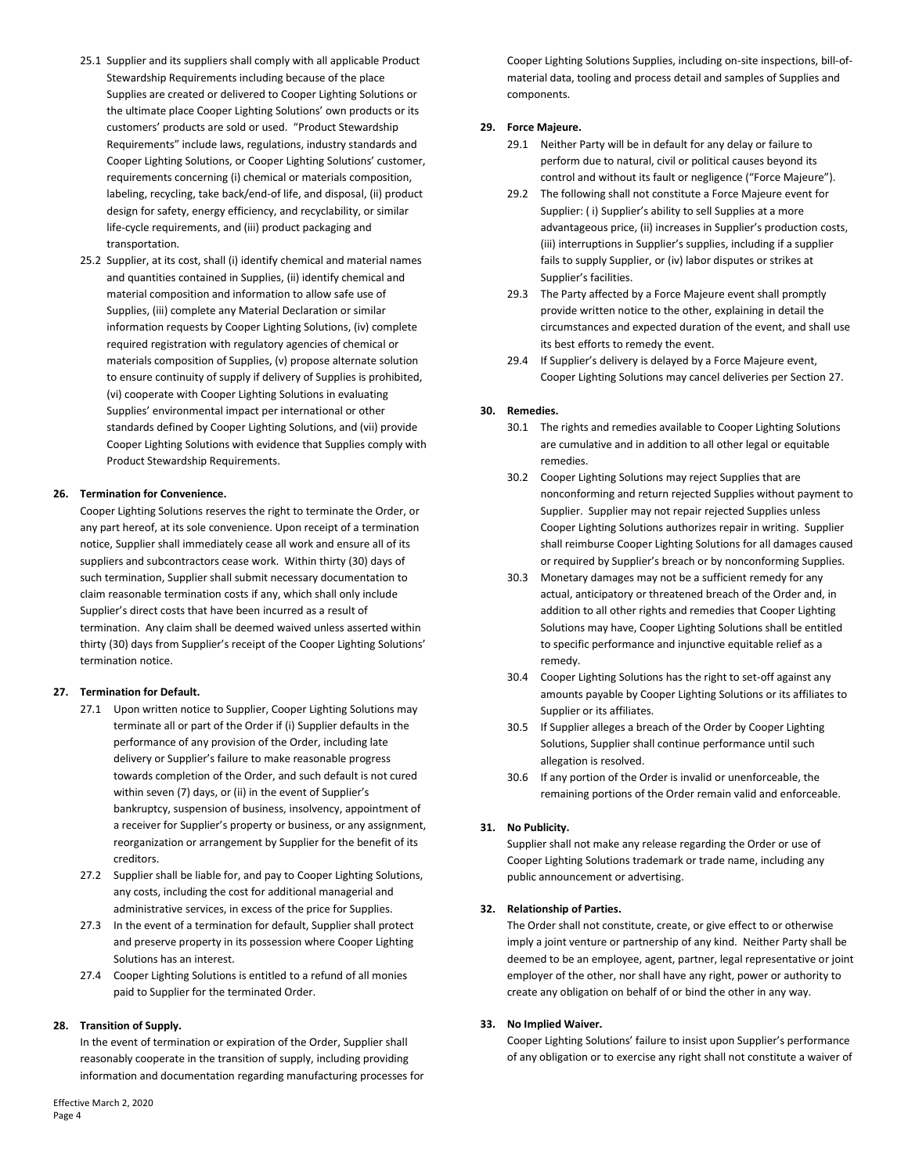- 25.1 Supplier and its suppliers shall comply with all applicable Product Stewardship Requirements including because of the place Supplies are created or delivered to Cooper Lighting Solutions or the ultimate place Cooper Lighting Solutions' own products or its customers' products are sold or used. "Product Stewardship Requirements" include laws, regulations, industry standards and Cooper Lighting Solutions, or Cooper Lighting Solutions' customer, requirements concerning (i) chemical or materials composition, labeling, recycling, take back/end-of life, and disposal, (ii) product design for safety, energy efficiency, and recyclability, or similar life-cycle requirements, and (iii) product packaging and transportation.
- 25.2 Supplier, at its cost, shall (i) identify chemical and material names and quantities contained in Supplies, (ii) identify chemical and material composition and information to allow safe use of Supplies, (iii) complete any Material Declaration or similar information requests by Cooper Lighting Solutions, (iv) complete required registration with regulatory agencies of chemical or materials composition of Supplies, (v) propose alternate solution to ensure continuity of supply if delivery of Supplies is prohibited, (vi) cooperate with Cooper Lighting Solutions in evaluating Supplies' environmental impact per international or other standards defined by Cooper Lighting Solutions, and (vii) provide Cooper Lighting Solutions with evidence that Supplies comply with Product Stewardship Requirements.

### **26. Termination for Convenience.**

Cooper Lighting Solutions reserves the right to terminate the Order, or any part hereof, at its sole convenience. Upon receipt of a termination notice, Supplier shall immediately cease all work and ensure all of its suppliers and subcontractors cease work. Within thirty (30) days of such termination, Supplier shall submit necessary documentation to claim reasonable termination costs if any, which shall only include Supplier's direct costs that have been incurred as a result of termination. Any claim shall be deemed waived unless asserted within thirty (30) days from Supplier's receipt of the Cooper Lighting Solutions' termination notice.

#### **27. Termination for Default.**

- 27.1 Upon written notice to Supplier, Cooper Lighting Solutions may terminate all or part of the Order if (i) Supplier defaults in the performance of any provision of the Order, including late delivery or Supplier's failure to make reasonable progress towards completion of the Order, and such default is not cured within seven (7) days, or (ii) in the event of Supplier's bankruptcy, suspension of business, insolvency, appointment of a receiver for Supplier's property or business, or any assignment, reorganization or arrangement by Supplier for the benefit of its creditors.
- 27.2 Supplier shall be liable for, and pay to Cooper Lighting Solutions, any costs, including the cost for additional managerial and administrative services, in excess of the price for Supplies.
- 27.3 In the event of a termination for default, Supplier shall protect and preserve property in its possession where Cooper Lighting Solutions has an interest.
- 27.4 Cooper Lighting Solutions is entitled to a refund of all monies paid to Supplier for the terminated Order.

#### **28. Transition of Supply.**

In the event of termination or expiration of the Order, Supplier shall reasonably cooperate in the transition of supply, including providing information and documentation regarding manufacturing processes for

Effective March 2, 2020 Page 4

Cooper Lighting Solutions Supplies, including on-site inspections, bill-ofmaterial data, tooling and process detail and samples of Supplies and components.

#### **29. Force Majeure.**

- 29.1 Neither Party will be in default for any delay or failure to perform due to natural, civil or political causes beyond its control and without its fault or negligence ("Force Majeure").
- 29.2 The following shall not constitute a Force Majeure event for Supplier: ( i) Supplier's ability to sell Supplies at a more advantageous price, (ii) increases in Supplier's production costs, (iii) interruptions in Supplier's supplies, including if a supplier fails to supply Supplier, or (iv) labor disputes or strikes at Supplier's facilities.
- 29.3 The Party affected by a Force Majeure event shall promptly provide written notice to the other, explaining in detail the circumstances and expected duration of the event, and shall use its best efforts to remedy the event.
- 29.4 If Supplier's delivery is delayed by a Force Majeure event, Cooper Lighting Solutions may cancel deliveries per Section 27.

### **30. Remedies.**

- 30.1 The rights and remedies available to Cooper Lighting Solutions are cumulative and in addition to all other legal or equitable remedies.
- 30.2 Cooper Lighting Solutions may reject Supplies that are nonconforming and return rejected Supplies without payment to Supplier. Supplier may not repair rejected Supplies unless Cooper Lighting Solutions authorizes repair in writing. Supplier shall reimburse Cooper Lighting Solutions for all damages caused or required by Supplier's breach or by nonconforming Supplies.
- 30.3 Monetary damages may not be a sufficient remedy for any actual, anticipatory or threatened breach of the Order and, in addition to all other rights and remedies that Cooper Lighting Solutions may have, Cooper Lighting Solutions shall be entitled to specific performance and injunctive equitable relief as a remedy.
- 30.4 Cooper Lighting Solutions has the right to set-off against any amounts payable by Cooper Lighting Solutions or its affiliates to Supplier or its affiliates.
- 30.5 If Supplier alleges a breach of the Order by Cooper Lighting Solutions, Supplier shall continue performance until such allegation is resolved.
- 30.6 If any portion of the Order is invalid or unenforceable, the remaining portions of the Order remain valid and enforceable.

#### **31. No Publicity.**

Supplier shall not make any release regarding the Order or use of Cooper Lighting Solutions trademark or trade name, including any public announcement or advertising.

### **32. Relationship of Parties.**

The Order shall not constitute, create, or give effect to or otherwise imply a joint venture or partnership of any kind. Neither Party shall be deemed to be an employee, agent, partner, legal representative or joint employer of the other, nor shall have any right, power or authority to create any obligation on behalf of or bind the other in any way.

#### **33. No Implied Waiver.**

Cooper Lighting Solutions' failure to insist upon Supplier's performance of any obligation or to exercise any right shall not constitute a waiver of